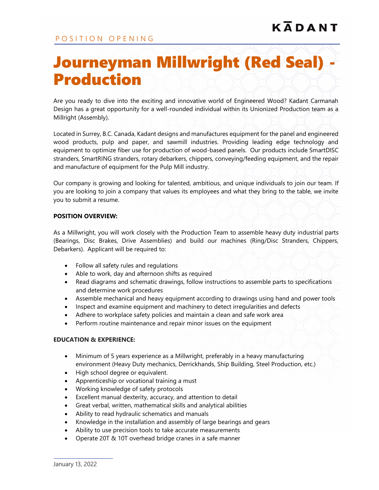## Journeyman Millwright (Red Seal) - Production

Are you ready to dive into the exciting and innovative world of Engineered Wood? Kadant Carmanah Design has a great opportunity for a well-rounded individual within its Unionized Production team as a Millright (Assembly).

Located in Surrey, B.C. Canada, Kadant designs and manufactures equipment for the panel and engineered wood products, pulp and paper, and sawmill industries. Providing leading edge technology and equipment to optimize fiber use for production of wood-based panels. Our products include SmartDISC stranders, SmartRING stranders, rotary debarkers, chippers, conveying/feeding equipment, and the repair and manufacture of equipment for the Pulp Mill industry.

Our company is growing and looking for talented, ambitious, and unique individuals to join our team. If you are looking to join a company that values its employees and what they bring to the table, we invite you to submit a resume.

## **POSITION OVERVIEW:**

As a Millwright, you will work closely with the Production Team to assemble heavy duty industrial parts (Bearings, Disc Brakes, Drive Assemblies) and build our machines (Ring/Disc Stranders, Chippers, Debarkers). Applicant will be required to:

- Follow all safety rules and regulations
- Able to work, day and afternoon shifts as required
- Read diagrams and schematic drawings, follow instructions to assemble parts to specifications and determine work procedures
- Assemble mechanical and heavy equipment according to drawings using hand and power tools
- Inspect and examine equipment and machinery to detect irregularities and defects
- Adhere to workplace safety policies and maintain a clean and safe work area
- Perform routine maintenance and repair minor issues on the equipment

## **EDUCATION & EXPERIENCE:**

- Minimum of 5 years experience as a Millwright, preferably in a heavy manufacturing environment (Heavy Duty mechanics, Derrickhands, Ship Building, Steel Production, etc.)
- High school degree or equivalent.
- Apprenticeship or vocational training a must
- Working knowledge of safety protocols
- Excellent manual dexterity, accuracy, and attention to detail
- Great verbal, written, mathematical skills and analytical abilities
- Ability to read hydraulic schematics and manuals
- Knowledge in the installation and assembly of large bearings and gears
- Ability to use precision tools to take accurate measurements
- Operate 20T & 10T overhead bridge cranes in a safe manner